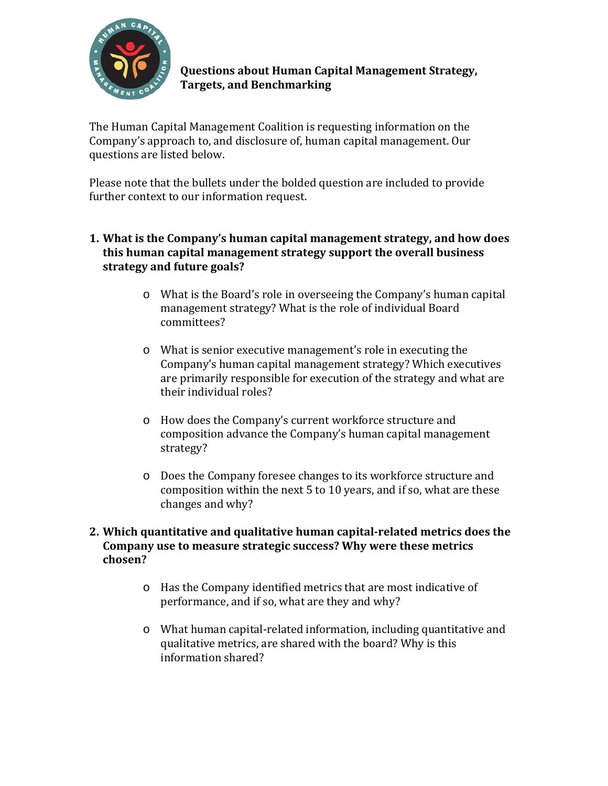

**Questions about Human Capital Management Strategy, Targets, and Benchmarking**

The Human Capital Management Coalition is requesting information on the Company's approach to, and disclosure of, human capital management. Our questions are listed below.

Please note that the bullets under the bolded question are included to provide further context to our information request.

## **1. What is the Company's human capital management strategy, and how does this human capital management strategy support the overall business strategy and future goals?**

- o What is the Board's role in overseeing the Company's human capital management strategy? What is the role of individual Board committees?
- o What is senior executive management's role in executing the Company's human capital management strategy? Which executives are primarily responsible for execution of the strategy and what are their individual roles?
- o How does the Company's current workforce structure and composition advance the Company's human capital management strategy?
- o Does the Company foresee changes to its workforce structure and composition within the next 5 to 10 years, and if so, what are these changes and why?

## **2. Which quantitative and qualitative human capital-related metrics does the Company use to measure strategic success? Why were these metrics chosen?**

- o Has the Company identified metrics that are most indicative of performance, and if so, what are they and why?
- o What human capital-related information, including quantitative and qualitative metrics, are shared with the board? Why is this information shared?